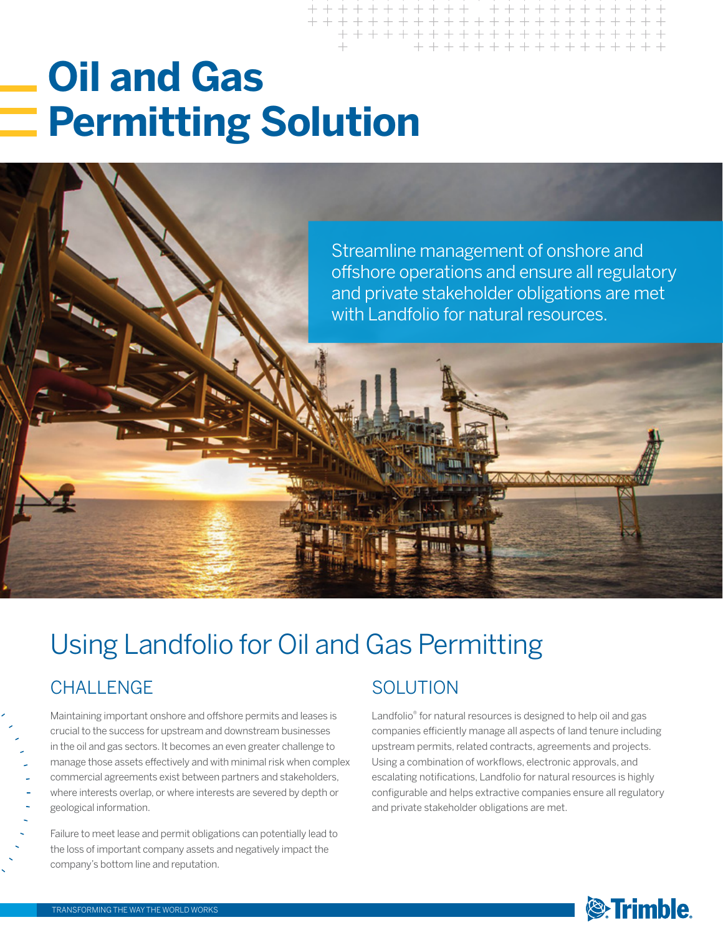# **Oil and Gas Permitting Solution**



# Using Landfolio for Oil and Gas Permitting

### CHALLENGE

Maintaining important onshore and offshore permits and leases is crucial to the success for upstream and downstream businesses in the oil and gas sectors. It becomes an even greater challenge to manage those assets effectively and with minimal risk when complex commercial agreements exist between partners and stakeholders, where interests overlap, or where interests are severed by depth or geological information.

Failure to meet lease and permit obligations can potentially lead to the loss of important company assets and negatively impact the company's bottom line and reputation.

### **SOLUTION**

Landfolio® for natural resources is designed to help oil and gas companies efficiently manage all aspects of land tenure including upstream permits, related contracts, agreements and projects. Using a combination of workflows, electronic approvals, and escalating notifications, Landfolio for natural resources is highly configurable and helps extractive companies ensure all regulatory and private stakeholder obligations are met.